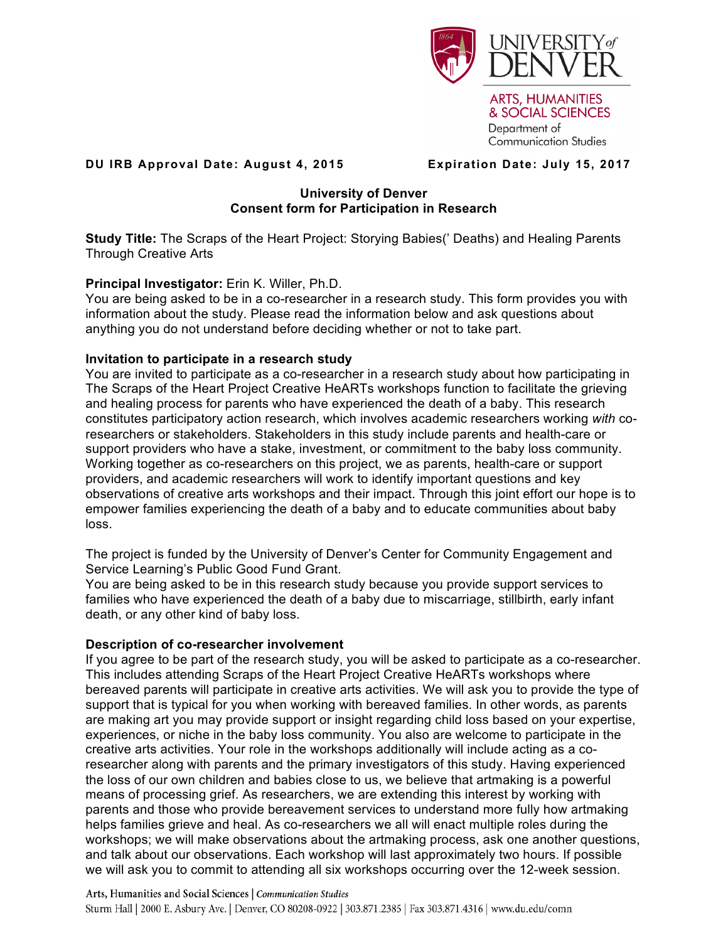

**DU IRB Approval Date: August 4, 2015 Expiration Date: July 15, 2017**

**Communication Studies** 

Department of

## **University of Denver Consent form for Participation in Research**

**Study Title:** The Scraps of the Heart Project: Storying Babies(' Deaths) and Healing Parents Through Creative Arts

## **Principal Investigator:** Erin K. Willer, Ph.D.

You are being asked to be in a co-researcher in a research study. This form provides you with information about the study. Please read the information below and ask questions about anything you do not understand before deciding whether or not to take part.

# **Invitation to participate in a research study**

You are invited to participate as a co-researcher in a research study about how participating in The Scraps of the Heart Project Creative HeARTs workshops function to facilitate the grieving and healing process for parents who have experienced the death of a baby. This research constitutes participatory action research, which involves academic researchers working *with* coresearchers or stakeholders. Stakeholders in this study include parents and health-care or support providers who have a stake, investment, or commitment to the baby loss community. Working together as co-researchers on this project, we as parents, health-care or support providers, and academic researchers will work to identify important questions and key observations of creative arts workshops and their impact. Through this joint effort our hope is to empower families experiencing the death of a baby and to educate communities about baby loss.

The project is funded by the University of Denver's Center for Community Engagement and Service Learning's Public Good Fund Grant.

You are being asked to be in this research study because you provide support services to families who have experienced the death of a baby due to miscarriage, stillbirth, early infant death, or any other kind of baby loss.

## **Description of co-researcher involvement**

If you agree to be part of the research study, you will be asked to participate as a co-researcher. This includes attending Scraps of the Heart Project Creative HeARTs workshops where bereaved parents will participate in creative arts activities. We will ask you to provide the type of support that is typical for you when working with bereaved families. In other words, as parents are making art you may provide support or insight regarding child loss based on your expertise, experiences, or niche in the baby loss community. You also are welcome to participate in the creative arts activities. Your role in the workshops additionally will include acting as a coresearcher along with parents and the primary investigators of this study. Having experienced the loss of our own children and babies close to us, we believe that artmaking is a powerful means of processing grief. As researchers, we are extending this interest by working with parents and those who provide bereavement services to understand more fully how artmaking helps families grieve and heal. As co-researchers we all will enact multiple roles during the workshops; we will make observations about the artmaking process, ask one another questions, and talk about our observations. Each workshop will last approximately two hours. If possible we will ask you to commit to attending all six workshops occurring over the 12-week session.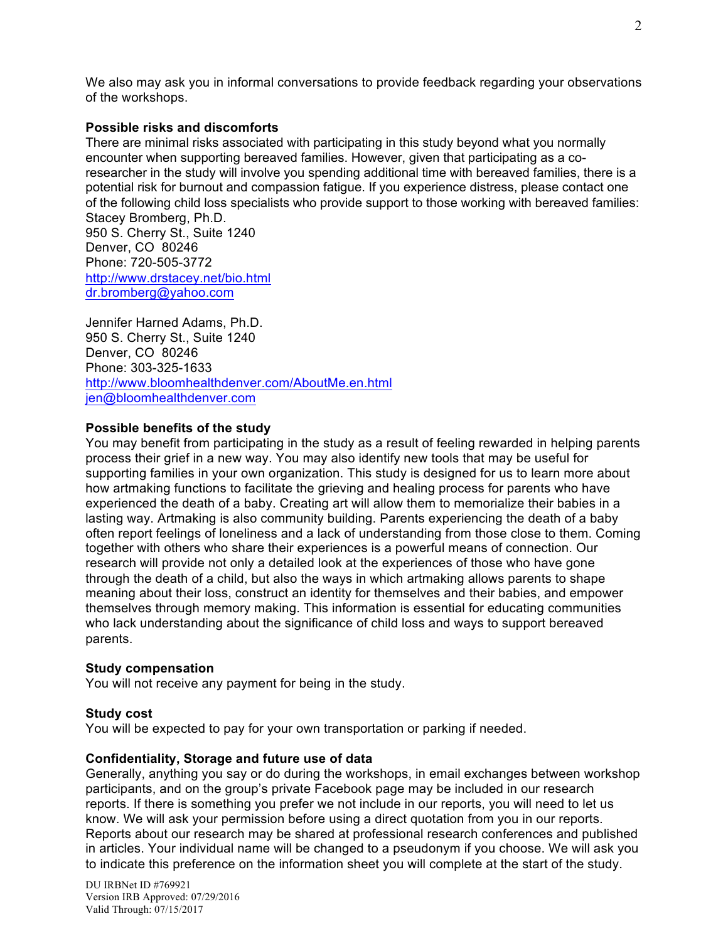We also may ask you in informal conversations to provide feedback regarding your observations of the workshops.

## **Possible risks and discomforts**

There are minimal risks associated with participating in this study beyond what you normally encounter when supporting bereaved families. However, given that participating as a coresearcher in the study will involve you spending additional time with bereaved families, there is a potential risk for burnout and compassion fatigue. If you experience distress, please contact one of the following child loss specialists who provide support to those working with bereaved families: Stacey Bromberg, Ph.D.

950 S. Cherry St., Suite 1240 Denver, CO 80246 Phone: 720-505-3772 http://www.drstacey.net/bio.html dr.bromberg@yahoo.com

Jennifer Harned Adams, Ph.D. 950 S. Cherry St., Suite 1240 Denver, CO 80246 Phone: 303-325-1633 http://www.bloomhealthdenver.com/AboutMe.en.html jen@bloomhealthdenver.com

### **Possible benefits of the study**

You may benefit from participating in the study as a result of feeling rewarded in helping parents process their grief in a new way. You may also identify new tools that may be useful for supporting families in your own organization. This study is designed for us to learn more about how artmaking functions to facilitate the grieving and healing process for parents who have experienced the death of a baby. Creating art will allow them to memorialize their babies in a lasting way. Artmaking is also community building. Parents experiencing the death of a baby often report feelings of loneliness and a lack of understanding from those close to them. Coming together with others who share their experiences is a powerful means of connection. Our research will provide not only a detailed look at the experiences of those who have gone through the death of a child, but also the ways in which artmaking allows parents to shape meaning about their loss, construct an identity for themselves and their babies, and empower themselves through memory making. This information is essential for educating communities who lack understanding about the significance of child loss and ways to support bereaved parents.

### **Study compensation**

You will not receive any payment for being in the study.

### **Study cost**

You will be expected to pay for your own transportation or parking if needed.

### **Confidentiality, Storage and future use of data**

Generally, anything you say or do during the workshops, in email exchanges between workshop participants, and on the group's private Facebook page may be included in our research reports. If there is something you prefer we not include in our reports, you will need to let us know. We will ask your permission before using a direct quotation from you in our reports. Reports about our research may be shared at professional research conferences and published in articles. Your individual name will be changed to a pseudonym if you choose. We will ask you to indicate this preference on the information sheet you will complete at the start of the study.

DU IRBNet ID #769921 Version IRB Approved: 07/29/2016 Valid Through: 07/15/2017